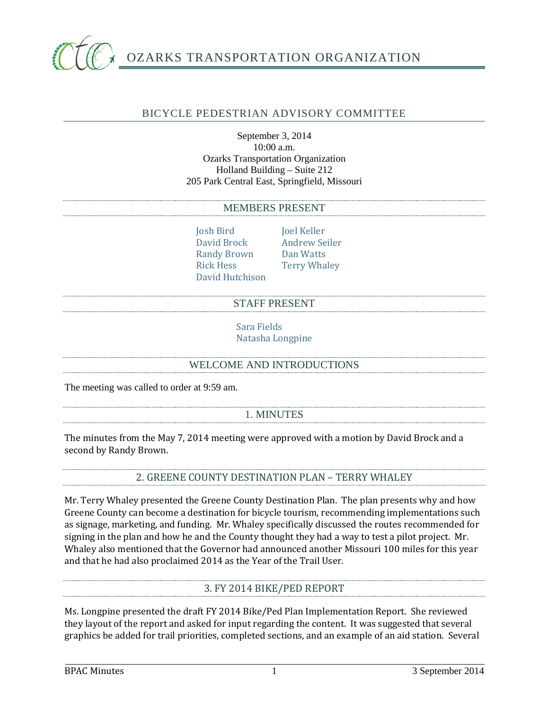

## BICYCLE PEDESTRIAN ADVISORY COMMITTEE

#### September 3, 2014 10:00 a.m. Ozarks Transportation Organization Holland Building – Suite 212 205 Park Central East, Springfield, Missouri

#### MEMBERS PRESENT

Josh Bird Joel Keller<br>David Brock Andrew Se Randy Brown<br>Rick Hess David Hutchison

Andrew Seiler<br>Dan Watts **Terry Whaley** 

### STAFF PRESENT

Sara Fields Natasha Longpine

### WELCOME AND INTRODUCTIONS

The meeting was called to order at 9:59 am.

## 1. MINUTES

The minutes from the May 7, 2014 meeting were approved with a motion by David Brock and a second by Randy Brown.

# 2. GREENE COUNTY DESTINATION PLAN – TERRY WHALEY

Mr. Terry Whaley presented the Greene County Destination Plan. The plan presents why and how Greene County can become a destination for bicycle tourism, recommending implementations such as signage, marketing, and funding. Mr. Whaley specifically discussed the routes recommended for signing in the plan and how he and the County thought they had a way to test a pilot project. Mr. Whaley also mentioned that the Governor had announced another Missouri 100 miles for this year and that he had also proclaimed 2014 as the Year of the Trail User.

## 3. FY 2014 BIKE/PED REPORT

Ms. Longpine presented the draft FY 2014 Bike/Ped Plan Implementation Report. She reviewed they layout of the report and asked for input regarding the content. It was suggested that several graphics be added for trail priorities, completed sections, and an example of an aid station. Several